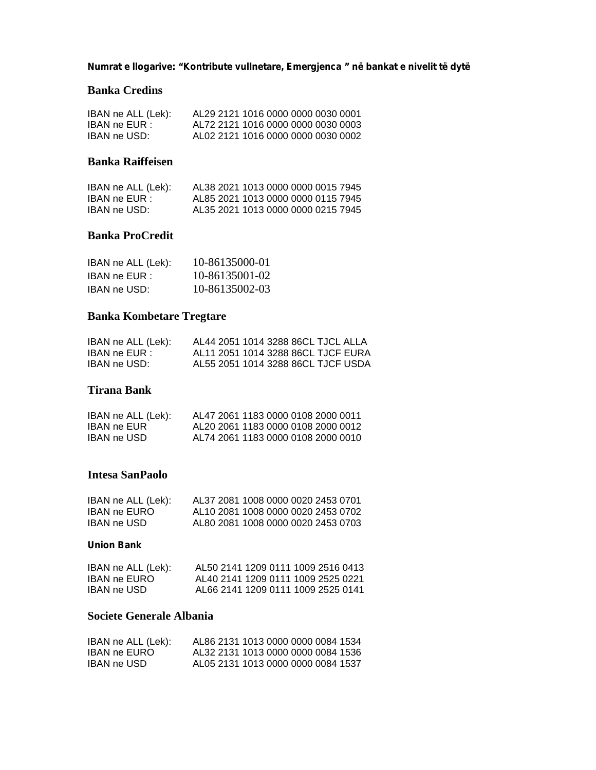**Numrat e llogarive: "Kontribute vullnetare, Emergjenca " në bankat e nivelit të dytë**

#### **Banka Credins**

| IBAN ne ALL (Lek): | AL29 2121 1016 0000 0000 0030 0001 |
|--------------------|------------------------------------|
| IBAN ne EUR :      | AL72 2121 1016 0000 0000 0030 0003 |
| IBAN ne USD:       | AL02 2121 1016 0000 0000 0030 0002 |

## **Banka Raiffeisen**

| IBAN ne ALL (Lek): | AL38 2021 1013 0000 0000 0015 7945 |
|--------------------|------------------------------------|
| IBAN ne EUR :      | AL85 2021 1013 0000 0000 0115 7945 |
| IBAN ne USD:       | AL35 2021 1013 0000 0000 0215 7945 |

## **Banka ProCredit**

| IBAN ne ALL (Lek): | 10-86135000-01 |
|--------------------|----------------|
| IBAN ne EUR :      | 10-86135001-02 |
| IBAN ne USD:       | 10-86135002-03 |

# **Banka Kombetare Tregtare**

| IBAN ne ALL (Lek): | AL44 2051 1014 3288 86CL TJCL ALLA |
|--------------------|------------------------------------|
| IBAN ne EUR :      | AL11 2051 1014 3288 86CL TJCF EURA |
| IBAN ne USD:       | AL55 2051 1014 3288 86CL TJCF USDA |

## **Tirana Bank**

| IBAN ne ALL (Lek): | AL47 2061 1183 0000 0108 2000 0011 |
|--------------------|------------------------------------|
| <b>IBAN ne EUR</b> | AL20 2061 1183 0000 0108 2000 0012 |
| IBAN ne USD        | AL74 2061 1183 0000 0108 2000 0010 |

#### **Intesa SanPaolo**

| IBAN ne ALL (Lek): | AL37 2081 1008 0000 0020 2453 0701 |
|--------------------|------------------------------------|
| IBAN ne EURO       | AL10 2081 1008 0000 0020 2453 0702 |
| IBAN ne USD        | AL80 2081 1008 0000 0020 2453 0703 |

#### **Union Bank**

| IBAN ne ALL (Lek): | AL50 2141 1209 0111 1009 2516 0413 |
|--------------------|------------------------------------|
| IBAN ne EURO       | AL40 2141 1209 0111 1009 2525 0221 |
| IBAN ne USD-       | AL66 2141 1209 0111 1009 2525 0141 |

# **Societe Generale Albania**

| IBAN ne ALL (Lek): | AL86 2131 1013 0000 0000 0084 1534 |
|--------------------|------------------------------------|
| IBAN ne EURO       | AL32 2131 1013 0000 0000 0084 1536 |
| IBAN ne USD-       | AL05 2131 1013 0000 0000 0084 1537 |